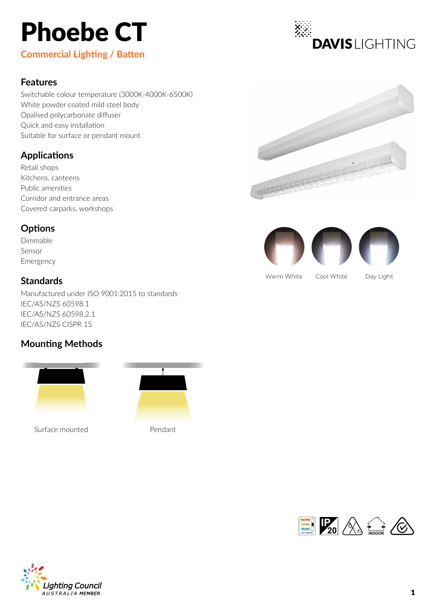# Phoebe CT

**Commercial Lighting / Batten**

### **Features**

Switchable colour temperature (3000K-4000K-6500K) White powder coated mild steel body Opalised polycarbonate diffuser Quick and easy installation Suitable for surface or pendant mount

### **Applications**

Retail shops Kitchens, canteens Public amenities Corridor and entrance areas Covered carparks, workshops

### **Options**

Dimmable Sensor Emergency

### **Standards**

Manufactured under ISO 9001:2015 to standards IEC/AS/NZS 60598.1 IEC/AS/NZS 60598.2.1 IEC/AS/NZS CISPR 15

### **Mounting Methods**



Surface mounted Pendant





**DAVISI IGHTING** 



Warm White Cool White Day Light